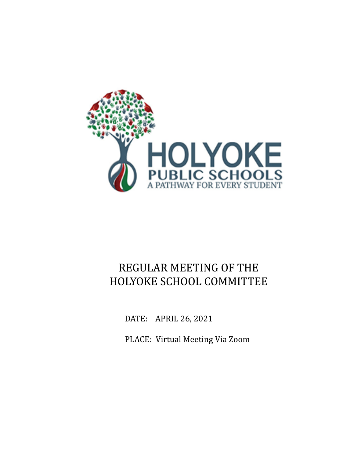

# REGULAR MEETING OF THE HOLYOKE SCHOOL COMMITTEE

DATE: APRIL 26, 2021

PLACE: Virtual Meeting Via Zoom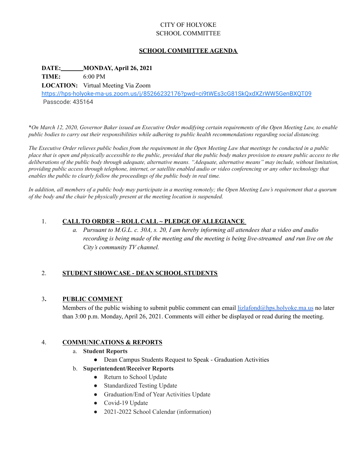### CITY OF HOLYOKE SCHOOL COMMITTEE

### **SCHOOL COMMITTEE AGENDA**

### **DATE: MONDAY, April 26, 2021**

**TIME:** 6:00 PM

**LOCATION:** Virtual Meeting Via Zoom

<https://hps-holyoke-ma-us.zoom.us/j/85266232176?pwd=ci9tWEs3cG81SkQxdXZrWW5GenBXQT09> Passcode: 435164

\*On March 12, 2020, Governor Baker issued an Executive Order modifying certain requirements of the Open Meeting Law, to enable public bodies to carry out their responsibilities while adhering to public health recommendations regarding social distancing.

The Executive Order relieves public bodies from the requirement in the Open Meeting Law that meetings be conducted in a public place that is open and physically accessible to the public, provided that the public body makes provision to ensure public access to the deliberations of the public body through adequate, alternative means. "Adequate, alternative means" may include, without limitation, providing public access through telephone, internet, or satellite enabled audio or video conferencing or any other technology that *enables the public to clearly follow the proceedings of the public body in real time.*

In addition, all members of a public body may participate in a meeting remotely; the Open Meeting Law's requirement that a quorum *of the body and the chair be physically present at the meeting location is suspended.*

### 1. **CALL TO ORDER ~ ROLL CALL ~ PLEDGE OF ALLEGIANCE**

a. Pursuant to M.G.L. c. 30A, s. 20, I am hereby informing all attendees that a video and audio *recording is being made of the meeting and the meeting is being live-streamed and run live on the City's community TV channel.*

### 2. **STUDENT SHOWCASE - DEAN SCHOOL STUDENTS**

### 3**. PUBLIC COMMENT**

Members of the public wishing to submit public comment can email  $lizlafond@hps holyokema.us$  no later than 3:00 p.m. Monday, April 26, 2021. Comments will either be displayed or read during the meeting.

### 4. **COMMUNICATIONS & REPORTS**

- a. **Student Reports**
	- Dean Campus Students Request to Speak Graduation Activities
- b. **Superintendent/Receiver Reports**
	- Return to School Update
	- Standardized Testing Update
	- Graduation/End of Year Activities Update
	- Covid-19 Update
	- 2021-2022 School Calendar (information)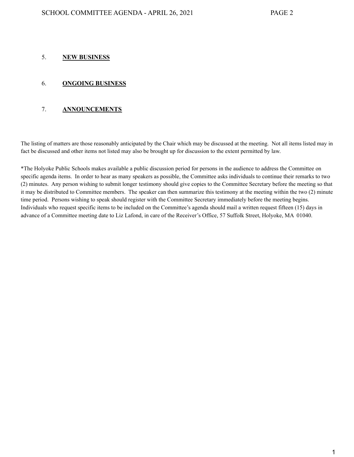### 5. **NEW BUSINESS**

### 6. **ONGOING BUSINESS**

### 7. **ANNOUNCEMENTS**

The listing of matters are those reasonably anticipated by the Chair which may be discussed at the meeting. Not all items listed may in fact be discussed and other items not listed may also be brought up for discussion to the extent permitted by law.

\*The Holyoke Public Schools makes available a public discussion period for persons in the audience to address the Committee on specific agenda items. In order to hear as many speakers as possible, the Committee asks individuals to continue their remarks to two (2) minutes. Any person wishing to submit longer testimony should give copies to the Committee Secretary before the meeting so that it may be distributed to Committee members. The speaker can then summarize this testimony at the meeting within the two (2) minute time period. Persons wishing to speak should register with the Committee Secretary immediately before the meeting begins. Individuals who request specific items to be included on the Committee's agenda should mail a written request fifteen (15) days in advance of a Committee meeting date to Liz Lafond, in care of the Receiver's Office, 57 Suffolk Street, Holyoke, MA 01040.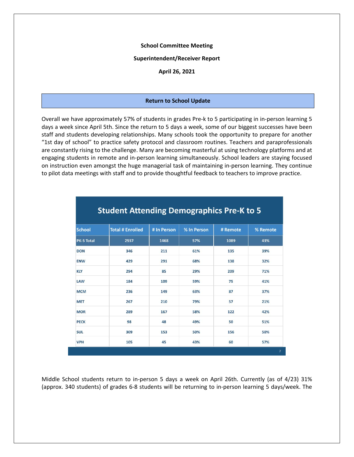#### **School Committee Meeting**

### **Superintendent/Receiver Report**

**April 26, 2021**

#### **Return to School Update**

Overall we have approximately 57% of students in grades Pre-k to 5 participating in in-person learning 5 days a week since April 5th. Since the return to 5 days a week, some of our biggest successes have been staff and students developing relationships. Many schools took the opportunity to prepare for another "1st day of school" to practice safety protocol and classroom routines. Teachers and paraprofessionals are constantly rising to the challenge. Many are becoming masterful at using technology platforms and at engaging students in remote and in-person learning simultaneously. School leaders are staying focused on instruction even amongst the huge managerial task of maintaining in-person learning. They continue to pilot data meetings with staff and to provide thoughtful feedback to teachers to improve practice.

| <b>School</b> | <b>Total # Enrolled</b> | # In Person | % In Person | # Remote | % Remote |  |
|---------------|-------------------------|-------------|-------------|----------|----------|--|
| PK-5 Total    | 2557                    | 1468        | 57%         | 1089     | 43%      |  |
| <b>DON</b>    | 346                     | 211         | 61%         | 135      | 39%      |  |
| <b>ENW</b>    | 429                     | 291         | 68%         | 138      | 32%      |  |
| <b>KLY</b>    | 294                     | 85          | 29%         | 209      | 71%      |  |
| LAW           | 184                     | 109         | 59%         | 75       | 41%      |  |
| <b>MCM</b>    | 236                     | 149         | 63%         | 87       | 37%      |  |
| <b>MET</b>    | 267                     | 210         | 79%         | 57       | 21%      |  |
| <b>MOR</b>    | 289                     | 167         | 58%         | 122      | 42%      |  |
| <b>PECK</b>   | 98                      | 48          | 49%         | 50       | 51%      |  |
| <b>SUL</b>    | 309                     | 153         | 50%         | 156      | 50%      |  |
| <b>VPH</b>    | 105                     | 45          | 43%         | 60       | 57%      |  |

### **Student Attending Demographics Pre-K to 5**

Middle School students return to in-person 5 days a week on April 26th. Currently (as of 4/23) 31% (approx. 340 students) of grades 6-8 students will be returning to in-person learning 5 days/week. The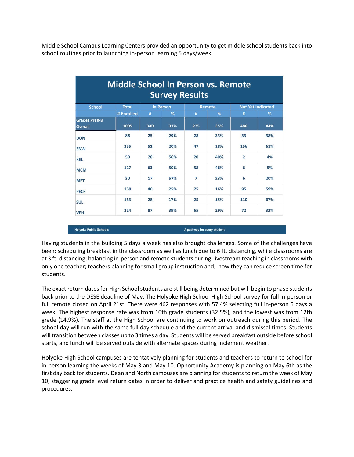Middle School Campus Learning Centers provided an opportunity to get middle school students back into school routines prior to launching in-person learning 5 days/week.

| <b>Middle School In Person vs. Remote</b><br><b>Survey Results</b> |              |                  |     |               |     |                          |     |
|--------------------------------------------------------------------|--------------|------------------|-----|---------------|-----|--------------------------|-----|
| <b>School</b>                                                      | <b>Total</b> | <b>In Person</b> |     | <b>Remote</b> |     | <b>Not Yet Indicated</b> |     |
|                                                                    | # Enrolled   | #                | %   | #             | %   | #                        | %   |
| <b>Grades PreK-8</b><br><b>Overall</b>                             | 1095         | 340              | 31% | 275           | 25% | 480                      | 44% |
| <b>DON</b>                                                         | 86           | 25               | 29% | 28            | 33% | 33                       | 38% |
| <b>ENW</b>                                                         | 255          | 52               | 20% | 47            | 18% | 156                      | 61% |
| <b>KEL</b>                                                         | 50           | 28               | 56% | 20            | 40% | $\overline{2}$           | 4%  |
| <b>MCM</b>                                                         | 127          | 63               | 50% | 58            | 46% | 6                        | 5%  |
| <b>MET</b>                                                         | 30           | 17               | 57% | 7             | 23% | 6                        | 20% |
| <b>PECK</b>                                                        | 160          | 40               | 25% | 25            | 16% | 95                       | 59% |
| <b>SUL</b>                                                         | 163          | 28               | 17% | 25            | 15% | 110                      | 67% |
| <b>VPH</b>                                                         | 224          | 87               | 39% | 65            | 29% | 72                       | 32% |

Having students in the building 5 days a week has also brought challenges. Some of the challenges have been: scheduling breakfast in the classroom as well as lunch due to 6 ft. distancing, while classrooms are at 3 ft. distancing; balancing in-person and remote students during Livestream teaching in classrooms with only one teacher; teachers planning for small group instruction and, how they can reduce screen time for students.

A pathway for every student

**Holyoke Public Schools** 

The exact return dates for High School students are still being determined but will begin to phase students back prior to the DESE deadline of May. The Holyoke High School High School survey for full in-person or full remote closed on April 21st. There were 462 responses with 57.4% selecting full in-person 5 days a week. The highest response rate was from 10th grade students (32.5%), and the lowest was from 12th grade (14.9%). The staff at the High School are continuing to work on outreach during this period. The school day will run with the same full day schedule and the current arrival and dismissal times. Students will transition between classes up to 3 times a day. Students will be served breakfast outside before school starts, and lunch will be served outside with alternate spaces during inclement weather.

Holyoke High School campuses are tentatively planning for students and teachers to return to school for in-person learning the weeks of May 3 and May 10. Opportunity Academy is planning on May 6th as the first day back for students. Dean and North campuses are planning for students to return the week of May 10, staggering grade level return dates in order to deliver and practice health and safety guidelines and procedures.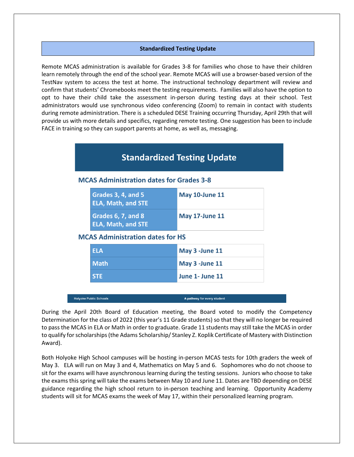### **Standardized Testing Update**

Remote MCAS administration is available for Grades 3-8 for families who chose to have their children learn remotely through the end of the school year. Remote MCAS will use a browser-based version of the TestNav system to access the test at home. The instructional technology department will review and confirm that students' Chromebooks meet the testing requirements. Families will also have the option to opt to have their child take the assessment in-person during testing days at their school. Test administrators would use synchronous video conferencing (Zoom) to remain in contact with students during remote administration. There is a scheduled DESE Training occurring Thursday, April 29th that will provide us with more details and specifics, regarding remote testing. One suggestion has been to include FACE in training so they can support parents at home, as well as, messaging.

## **Standardized Testing Update**

### **MCAS Administration dates for Grades 3-8**

| Grades 3, 4, and 5<br><b>ELA, Math, and STE</b> | <b>May 10-June 11</b> |
|-------------------------------------------------|-----------------------|
| Grades 6, 7, and 8<br><b>ELA, Math, and STE</b> | <b>May 17-June 11</b> |

### **MCAS Administration dates for HS**

| <b>ELA</b>                | May 3 - June 11   |
|---------------------------|-------------------|
| l Math                    | May 3 - June 11   |
| $\overline{\mathsf{STE}}$ | l June 1- June 11 |

**Holyoke Public Schools** 

A pathway for every student

During the April 20th Board of Education meeting, the Board voted to modify the Competency Determination for the class of 2022 (this year's 11 Grade students) so that they will no longer be required to pass the MCAS in ELA or Math in order to graduate. Grade 11 students may still take the MCAS in order to qualify for scholarships (the Adams Scholarship/ Stanley Z. Koplik Certificate of Mastery with Distinction Award).

Both Holyoke High School campuses will be hosting in-person MCAS tests for 10th graders the week of May 3. ELA will run on May 3 and 4, Mathematics on May 5 and 6. Sophomores who do not choose to sit for the exams will have asynchronous learning during the testing sessions. Juniors who choose to take the exams this spring will take the exams between May 10 and June 11. Dates are TBD depending on DESE guidance regarding the high school return to in-person teaching and learning. Opportunity Academy students will sit for MCAS exams the week of May 17, within their personalized learning program.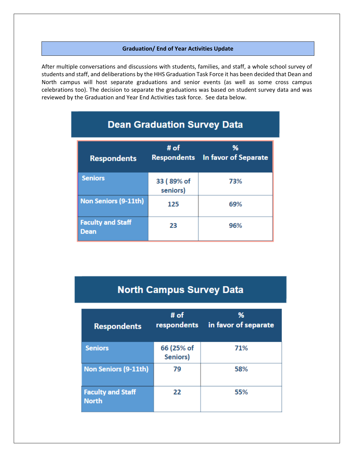### **Graduation/ End of Year Activities Update**

After multiple conversations and discussions with students, families, and staff, a whole school survey of students and staff, and deliberations by the HHS Graduation Task Force it has been decided that Dean and North campus will host separate graduations and senior events (as well as some cross campus celebrations too). The decision to separate the graduations was based on student survey data and was reviewed by the Graduation and Year End Activities task force. See data below.

| <b>Respondents</b>                      | # $of$<br><b>Respondents</b> | %<br>In favor of Separate |
|-----------------------------------------|------------------------------|---------------------------|
| <b>Seniors</b>                          | 33 (89% of<br>seniors)       | 73%                       |
| <b>Non Seniors (9-11th)</b>             | 125                          | 69%                       |
| <b>Faculty and Staff</b><br><b>Dean</b> | 23                           | 96%                       |

# **Dean Graduation Survey Data**

# **North Campus Survey Data**

| <b>Respondents</b>                       | # $of$<br>respondents  | %<br>in favor of separate |  |  |  |
|------------------------------------------|------------------------|---------------------------|--|--|--|
| <b>Seniors</b>                           | 66 (25% of<br>Seniors) | 71%                       |  |  |  |
| <b>Non Seniors (9-11th)</b>              | 79                     | 58%                       |  |  |  |
| <b>Faculty and Staff</b><br><b>North</b> | 22                     | 55%                       |  |  |  |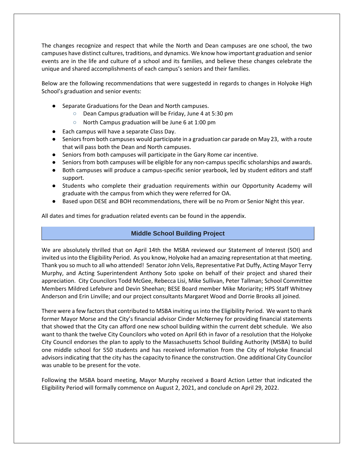The changes recognize and respect that while the North and Dean campuses are one school, the two campuses have distinct cultures, traditions, and dynamics. We know how important graduation and senior events are in the life and culture of a school and its families, and believe these changes celebrate the unique and shared accomplishments of each campus's seniors and their families.

Below are the following recommendations that were suggestedd in regards to changes in Holyoke High School's graduation and senior events:

- Separate Graduations for the Dean and North campuses.
	- Dean Campus graduation will be Friday, June 4 at 5:30 pm
	- North Campus graduation will be June 6 at 1:00 pm
- Each campus will have a separate Class Day.
- Seniors from both campuses would participate in a graduation car parade on May 23, with a route that will pass both the Dean and North campuses.
- Seniors from both campuses will participate in the Gary Rome car incentive.
- Seniors from both campuses will be eligible for any non-campus specific scholarships and awards.
- Both campuses will produce a campus-specific senior yearbook, led by student editors and staff support.
- Students who complete their graduation requirements within our Opportunity Academy will graduate with the campus from which they were referred for OA.
- Based upon DESE and BOH recommendations, there will be no Prom or Senior Night this year.

All dates and times for graduation related events can be found in the appendix.

### **Middle School Building Project**

We are absolutely thrilled that on April 14th the MSBA reviewed our Statement of Interest (SOI) and invited us into the Eligibility Period. As you know, Holyoke had an amazing representation at that meeting. Thank you so much to all who attended! Senator John Velis, Representative Pat Duffy, Acting Mayor Terry Murphy, and Acting Superintendent Anthony Soto spoke on behalf of their project and shared their appreciation. City Councilors Todd McGee, Rebecca Lisi, Mike Sullivan, Peter Tallman; School Committee Members Mildred Lefebvre and Devin Sheehan; BESE Board member Mike Moriarity; HPS Staff Whitney Anderson and Erin Linville; and our project consultants Margaret Wood and Dorrie Brooks all joined.

There were a few factors that contributed to MSBA inviting us into the Eligibility Period. We want to thank former Mayor Morse and the City's financial advisor Cinder McNerney for providing financial statements that showed that the City can afford one new school building within the current debt schedule. We also want to thank the twelve City Councilors who voted on April 6th in favor of a resolution that the Holyoke City Council endorses the plan to apply to the Massachusetts School Building Authority (MSBA) to build one middle school for 550 students and has received information from the City of Holyoke financial advisors indicating that the city has the capacity to finance the construction. One additional City Councilor was unable to be present for the vote.

Following the MSBA board meeting, Mayor Murphy received a Board Action Letter that indicated the Eligibility Period will formally commence on August 2, 2021, and conclude on April 29, 2022.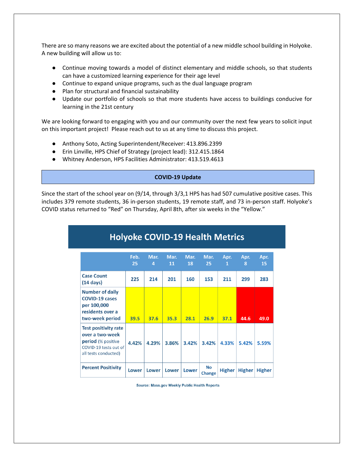There are so many reasons we are excited about the potential of a new middle school building in Holyoke. A new building will allow us to:

- Continue moving towards a model of distinct elementary and middle schools, so that students can have a customized learning experience for their age level
- Continue to expand unique programs, such as the dual language program
- Plan for structural and financial sustainability
- Update our portfolio of schools so that more students have access to buildings conducive for learning in the 21st century

We are looking forward to engaging with you and our community over the next few years to solicit input on this important project! Please reach out to us at any time to discuss this project.

- Anthony Soto, Acting Superintendent/Receiver: 413.896.2399
- Erin Linville, HPS Chief of Strategy (project lead): 312.415.1864
- Whitney Anderson, HPS Facilities Administrator: 413.519.4613

### **COVID-19 Update**

Since the start of the school year on (9/14, through 3/3,1 HPS has had 507 cumulative positive cases. This includes 379 remote students, 36 in-person students, 19 remote staff, and 73 in-person staff. Holyoke's COVID status returned to "Red" on Thursday, April 8th, after six weeks in the "Yellow."

| <b>Holyoke COVID-19 Health Metrics</b>                                                                                       |            |           |            |            |                            |               |               |               |
|------------------------------------------------------------------------------------------------------------------------------|------------|-----------|------------|------------|----------------------------|---------------|---------------|---------------|
|                                                                                                                              | Feb.<br>25 | Mar.<br>4 | Mar.<br>11 | Mar.<br>18 | Mar.<br>25                 | Apr.<br>1     | Apr.<br>8     | Apr.<br>15    |
| <b>Case Count</b><br>$(14 \text{ days})$                                                                                     | 225        | 214       | 201        | 160        | 153                        | 211           | 299           | 283           |
| <b>Number of daily</b><br><b>COVID-19 cases</b><br>per 100,000<br>residents over a<br>two-week period                        | 39.5       | 37.6      | 35.3       | 28.1       | 26.9                       | 37.1          | 44.6          | 49.0          |
| <b>Test positivity rate</b><br>over a two-week<br><b>period</b> (% positive<br>COVID-19 tests out of<br>all tests conducted) | 4.42%      | 4.29%     | 3.86%      | 3.42%      | 3.42%                      | 4.33%         | 5.42%         | 5.59%         |
| <b>Percent Positivity</b>                                                                                                    | Lower      | Lower     | Lower      | Lower      | <b>No</b><br><b>Change</b> | <b>Higher</b> | <b>Higher</b> | <b>Higher</b> |

Source: Mass.gov Weekly Public Health Reports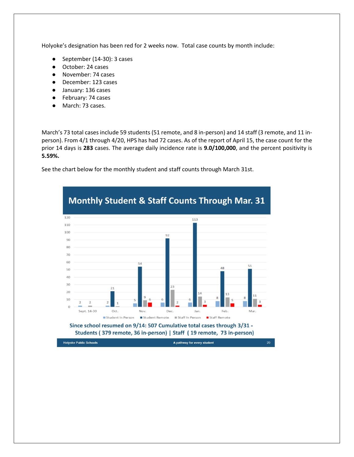Holyoke's designation has been red for 2 weeks now. Total case counts by month include:

- September (14-30): 3 cases
- October: 24 cases
- November: 74 cases
- December: 123 cases
- January: 136 cases
- February: 74 cases
- March: 73 cases.

March's 73 total cases include 59 students (51 remote, and 8 in-person) and 14 staff (3 remote, and 11 inperson). From 4/1 through 4/20, HPS has had 72 cases. As of the report of April 15, the case count for the prior 14 days is **283** cases. The average daily incidence rate is **9.0/100,000**, and the percent positivity is **5.59%.**

See the chart below for the monthly student and staff counts through March 31st.



Since school resumed on 9/14: 507 Cumulative total cases through 3/31 -Students (379 remote, 36 in-person) | Staff (19 remote, 73 in-person)

**Holyoke Public Schools** 

A pathway for every student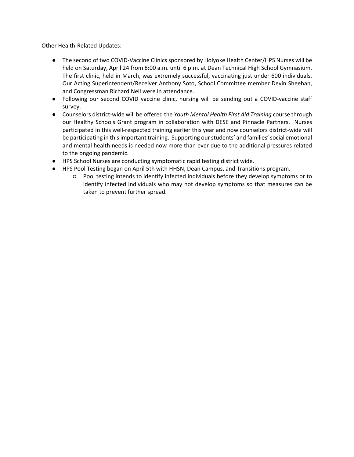Other Health-Related Updates:

- The second of two COVID-Vaccine Clinics sponsored by Holyoke Health Center/HPS Nurses will be held on Saturday, April 24 from 8:00 a.m. until 6 p.m. at Dean Technical High School Gymnasium. The first clinic, held in March, was extremely successful, vaccinating just under 600 individuals. Our Acting Superintendent/Receiver Anthony Soto, School Committee member Devin Sheehan, and Congressman Richard Neil were in attendance.
- Following our second COVID vaccine clinic, nursing will be sending out a COVID-vaccine staff survey.
- Counselors district-wide will be offered the *Youth Mental Health First Aid Training* course through our Healthy Schools Grant program in collaboration with DESE and Pinnacle Partners. Nurses participated in this well-respected training earlier this year and now counselors district-wide will be participating in this important training. Supporting our students' and families' social emotional and mental health needs is needed now more than ever due to the additional pressures related to the ongoing pandemic.
- HPS School Nurses are conducting symptomatic rapid testing district wide.
- HPS Pool Testing began on April 5th with HHSN, Dean Campus, and Transitions program.
	- Pool testing intends to identify infected individuals before they develop symptoms or to identify infected individuals who may not develop symptoms so that measures can be taken to prevent further spread.